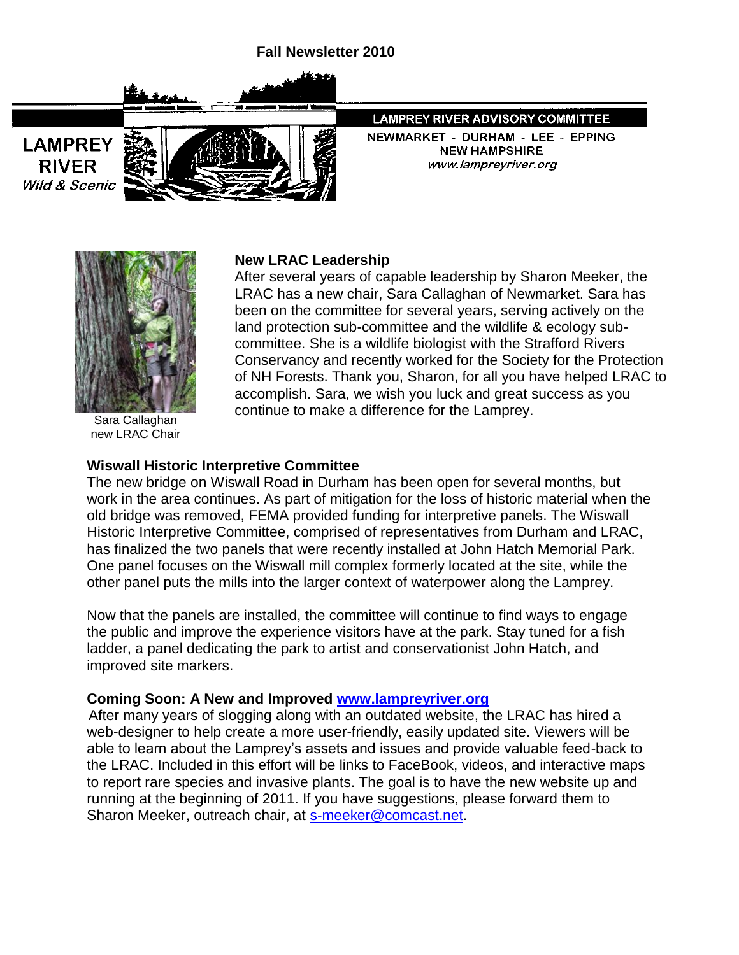



**LAMPREY RIVER Wild & Scenic** 

# LAMPREY RIVER ADVISORY COMMITTEE

NEWMARKET - DURHAM - LEE - EPPING **NEW HAMPSHIRE** www.lampreyriver.org



Sara Callaghan new LRAC Chair

#### **New LRAC Leadership**

After several years of capable leadership by Sharon Meeker, the LRAC has a new chair, Sara Callaghan of Newmarket. Sara has been on the committee for several years, serving actively on the land protection sub-committee and the wildlife & ecology subcommittee. She is a wildlife biologist with the Strafford Rivers Conservancy and recently worked for the Society for the Protection of NH Forests. Thank you, Sharon, for all you have helped LRAC to accomplish. Sara, we wish you luck and great success as you continue to make a difference for the Lamprey.

### **Wiswall Historic Interpretive Committee**

The new bridge on Wiswall Road in Durham has been open for several months, but work in the area continues. As part of mitigation for the loss of historic material when the old bridge was removed, FEMA provided funding for interpretive panels. The Wiswall Historic Interpretive Committee, comprised of representatives from Durham and LRAC, has finalized the two panels that were recently installed at John Hatch Memorial Park. One panel focuses on the Wiswall mill complex formerly located at the site, while the other panel puts the mills into the larger context of waterpower along the Lamprey.

Now that the panels are installed, the committee will continue to find ways to engage the public and improve the experience visitors have at the park. Stay tuned for a fish ladder, a panel dedicating the park to artist and conservationist John Hatch, and improved site markers.

### **Coming Soon: A New and Improved [www.lampreyriver.org](http://www.lampreyriver.org/)**

 After many years of slogging along with an outdated website, the LRAC has hired a web-designer to help create a more user-friendly, easily updated site. Viewers will be able to learn about the Lamprey's assets and issues and provide valuable feed-back to the LRAC. Included in this effort will be links to FaceBook, videos, and interactive maps to report rare species and invasive plants. The goal is to have the new website up and running at the beginning of 2011. If you have suggestions, please forward them to Sharon Meeker, outreach chair, at [s-meeker@comcast.net.](mailto:s-meeker@comcast.net)